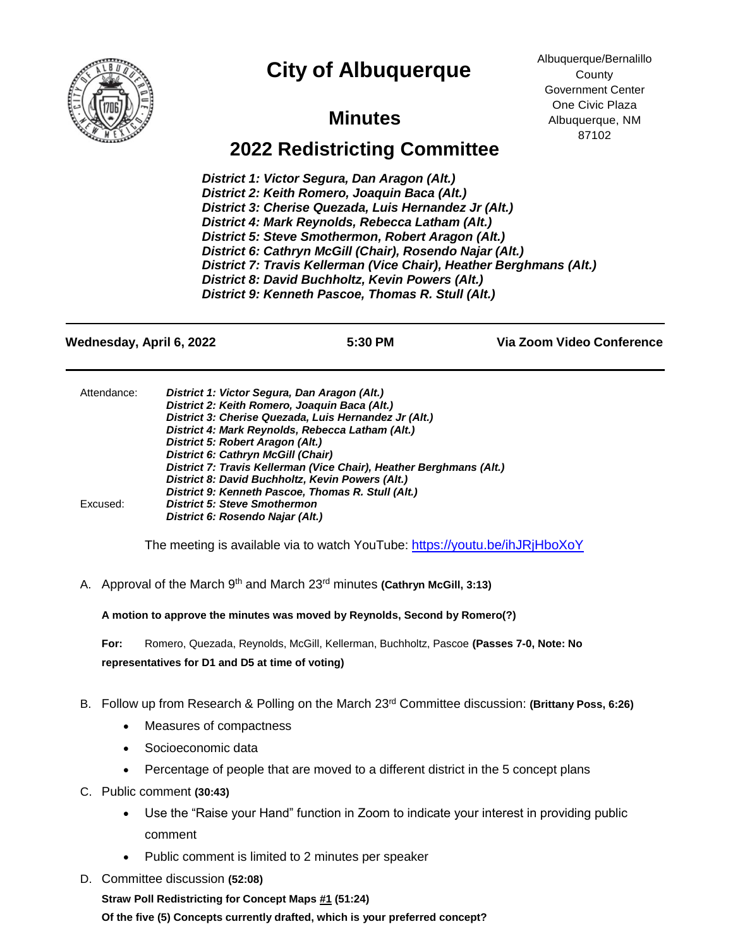

## **City of Albuquerque**

Albuquerque/Bernalillo **County** Government Center One Civic Plaza Albuquerque, NM 87102

## **Minutes**

## **2022 Redistricting Committee**

*District 1: Victor Segura, Dan Aragon (Alt.) District 2: Keith Romero, Joaquin Baca (Alt.) District 3: Cherise Quezada, Luis Hernandez Jr (Alt.) District 4: Mark Reynolds, Rebecca Latham (Alt.) (Alt.)* **District 5: Steve Smothermon, Robert Aragon (Alt.)** *District 6: Cathryn McGill (Chair), Rosendo Najar (Alt.) District 7: Travis Kellerman (Vice Chair) , Heather Berghmans (Alt.) Chair), Heather Berghmans (Alt.) District 8: David Buchholtz, Kevin Powers (Alt.) District 9: Kenneth Pascoe, Thomas R. Stull (Alt.)*

**Wednesday, April 6, 2022 5:30 PM Via Zoom Video Conference**

| District 1: Victor Segura, Dan Aragon (Alt.)                        |
|---------------------------------------------------------------------|
| District 2: Keith Romero, Joaquin Baca (Alt.)                       |
| District 3: Cherise Quezada, Luis Hernandez Jr (Alt.)               |
| District 4: Mark Reynolds, Rebecca Latham (Alt.)                    |
| District 5: Robert Aragon (Alt.)                                    |
| <b>District 6: Cathryn McGill (Chair)</b>                           |
| District 7: Travis Kellerman (Vice Chair), Heather Berghmans (Alt.) |
| District 8: David Buchholtz, Kevin Powers (Alt.)                    |
| District 9: Kenneth Pascoe, Thomas R. Stull (Alt.)                  |
| <b>District 5: Steve Smothermon</b>                                 |
| District 6: Rosendo Najar (Alt.)                                    |
|                                                                     |

The meeting is available via to watch YouTube: <https://youtu.be/ihJRjHboXoY>

A. Approval of the March 9th and March 23rd minutes **(Cathryn McGill, 3:13)**

**A motion to approve the minutes was moved by Reynolds, Second by Romero(?)**

**For:** Romero, Quezada, Reynolds, McGill, Kellerman, Buchholtz, Pascoe **(Passes 7-0, Note: No representatives for D1 and D5 at time of voting)**

- B. Follow up from Research & Polling on the March 23rd Committee discussion: **(Brittany Poss, 6:26)**
	- Measures of compactness
	- Socioeconomic data
	- Percentage of people that are moved to a different district in the 5 concept plans
- C. Public comment **(30:43)**
	- Use the "Raise your Hand" function in Zoom to indicate your interest in providing public comment
	- Public comment is limited to 2 minutes per speaker
- D. Committee discussion **(52:08)**

**Straw Poll Redistricting for Concept Maps #1 (51:24) Of the five (5) Concepts currently drafted, which is your preferred concept?**